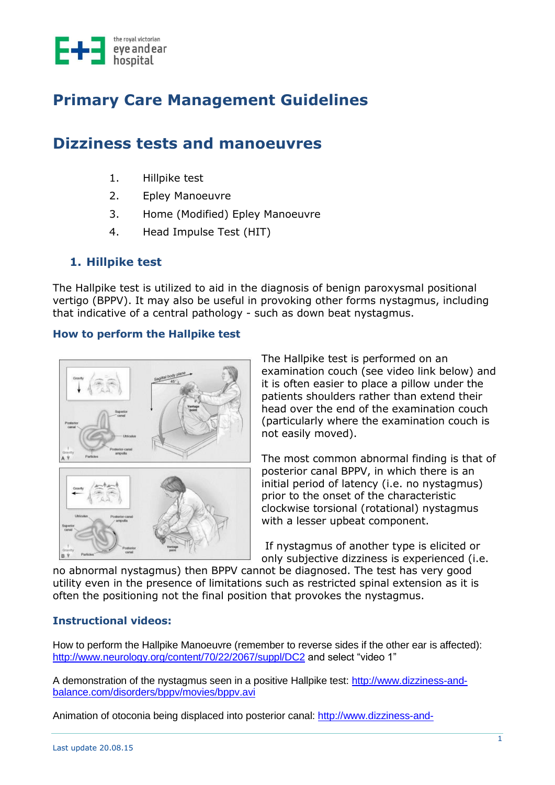

# **Primary Care Management Guidelines**

## **Dizziness tests and manoeuvres**

- 1. Hillpike test
- 2. Epley Manoeuvre
- 3. Home (Modified) Epley Manoeuvre
- 4. Head Impulse Test (HIT)

## **1. Hillpike test**

The Hallpike test is utilized to aid in the diagnosis of benign paroxysmal positional vertigo (BPPV). It may also be useful in provoking other forms nystagmus, including that indicative of a central pathology - such as down beat nystagmus.

#### **How to perform the Hallpike test**





The Hallpike test is performed on an examination couch (see video link below) and it is often easier to place a pillow under the patients shoulders rather than extend their head over the end of the examination couch (particularly where the examination couch is not easily moved).

The most common abnormal finding is that of posterior canal BPPV, in which there is an initial period of latency (i.e. no nystagmus) prior to the onset of the characteristic clockwise torsional (rotational) nystagmus with a lesser upbeat component.

If nystagmus of another type is elicited or only subjective dizziness is experienced (i.e.

no abnormal nystagmus) then BPPV cannot be diagnosed. The test has very good utility even in the presence of limitations such as restricted spinal extension as it is often the positioning not the final position that provokes the nystagmus.

#### **Instructional videos:**

How to perform the Hallpike Manoeuvre (remember to reverse sides if the other ear is affected): <http://www.neurology.org/content/70/22/2067/suppl/DC2> and select "video 1"

A demonstration of the nystagmus seen in a positive Hallpike test: [http://www.dizziness-and](http://www.dizziness-and-balance.com/disorders/bppv/movies/bppv.avi)[balance.com/disorders/bppv/movies/bppv.avi](http://www.dizziness-and-balance.com/disorders/bppv/movies/bppv.avi)

Animation of otoconia being displaced into posterior canal: [http://www.dizziness-and-](http://www.dizziness-and-balance.com/disorders/bppv/movies/Debris-Redistribution.gif)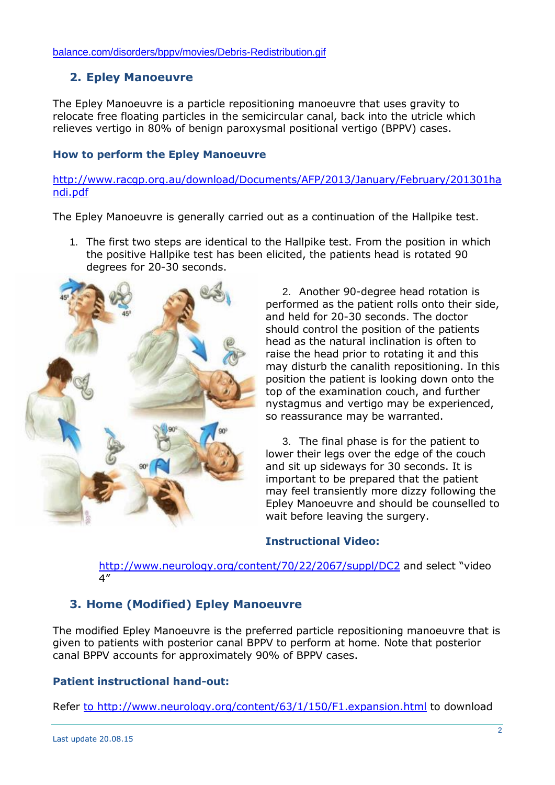## **2. Epley Manoeuvre**

The Epley Manoeuvre is a particle repositioning manoeuvre that uses gravity to relocate free floating particles in the semicircular canal, back into the utricle which relieves vertigo in 80% of benign paroxysmal positional vertigo (BPPV) cases.

#### **How to perform the Epley Manoeuvre**

[http://www.racgp.org.au/download/Documents/AFP/2013/January/February/201301ha](http://www.racgp.org.au/download/Documents/AFP/2013/January/February/201301handi.pdf) [ndi.pdf](http://www.racgp.org.au/download/Documents/AFP/2013/January/February/201301handi.pdf)

The Epley Manoeuvre is generally carried out as a continuation of the Hallpike test.

1. The first two steps are identical to the Hallpike test. From the position in which the positive Hallpike test has been elicited, the patients head is rotated 90 degrees for 20-30 seconds.



2. Another 90-degree head rotation is performed as the patient rolls onto their side, and held for 20-30 seconds. The doctor should control the position of the patients head as the natural inclination is often to raise the head prior to rotating it and this may disturb the canalith repositioning. In this position the patient is looking down onto the top of the examination couch, and further nystagmus and vertigo may be experienced, so reassurance may be warranted.

3. The final phase is for the patient to lower their legs over the edge of the couch and sit up sideways for 30 seconds. It is important to be prepared that the patient may feel transiently more dizzy following the Epley Manoeuvre and should be counselled to wait before leaving the surgery.

#### **Instructional Video:**

<http://www.neurology.org/content/70/22/2067/suppl/DC2> and select "video 4"

## **3. Home (Modified) Epley Manoeuvre**

The modified Epley Manoeuvre is the preferred particle repositioning manoeuvre that is given to patients with posterior canal BPPV to perform at home. Note that posterior canal BPPV accounts for approximately 90% of BPPV cases.

#### **Patient instructional hand-out:**

Refer [to http://www.neurology.org/content/63/1/150/F1.expansion.html](file://///rveeh.local/DFS/UserData/DDevlin/Documents/to%20http:/www.neurology.org/content/63/1/150/F1.expansion.html) to download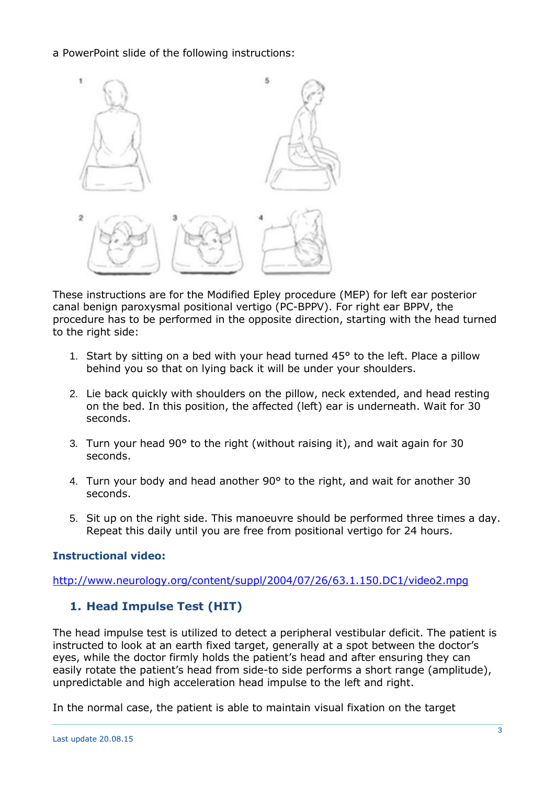a PowerPoint slide of the following instructions:



These instructions are for the Modified Epley procedure (MEP) for left ear posterior canal benign paroxysmal positional vertigo (PC-BPPV). For right ear BPPV, the procedure has to be performed in the opposite direction, starting with the head turned to the right side:

- 1. Start by sitting on a bed with your head turned  $45^{\circ}$  to the left. Place a pillow behind you so that on lying back it will be under your shoulders.
- 2. Lie back quickly with shoulders on the pillow, neck extended, and head resting on the bed. In this position, the affected (left) ear is underneath. Wait for 30 seconds.
- 3. Turn your head 90° to the right (without raising it), and wait again for 30 seconds.
- 4. Turn your body and head another 90° to the right, and wait for another 30 seconds.
- 5. Sit up on the right side. This manoeuvre should be performed three times a day. Repeat this daily until you are free from positional vertigo for 24 hours.

#### **Instructional video:**

<http://www.neurology.org/content/suppl/2004/07/26/63.1.150.DC1/video2.mpg>

### **1. Head Impulse Test (HIT)**

The head impulse test is utilized to detect a peripheral vestibular deficit. The patient is instructed to look at an earth fixed target, generally at a spot between the doctor's eyes, while the doctor firmly holds the patient's head and after ensuring they can easily rotate the patient's head from side-to side performs a short range (amplitude), unpredictable and high acceleration head impulse to the left and right.

In the normal case, the patient is able to maintain visual fixation on the target